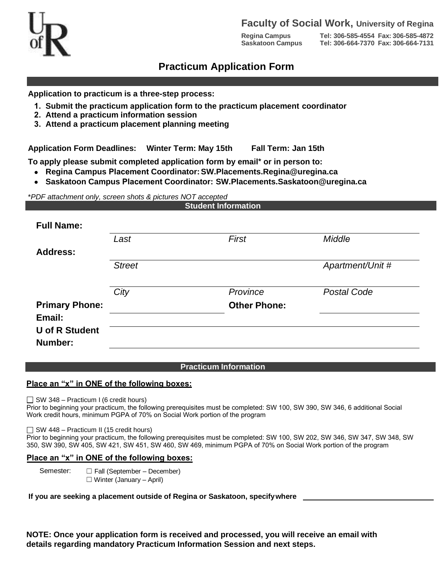

## **Faculty of Social Work, University of Regina**

**Regina Campus Tel: 306-585-4554 Fax: 306-585-4872 Saskatoon Campus Tel: 306-664-7370 Fax: 306-664-7131**

# **Practicum Application Form**

**Application to practicum is a three-step process:**

- **1. Submit the practicum application form to the practicum placement coordinator**
- **2. Attend a practicum information session**
- **3. Attend a practicum placement planning meeting**

**Application Form Deadlines: Winter Term: May 15th Fall Term: Jan 15th** 

**To apply please submit completed application form by email\* or in person to:**

- **Regina Campus Placement Coordinator: SW.Placements.Regina@uregina.ca**
- **Saskatoon Campus Placement Coordinator: SW.Placements.Saskatoon@uregina.ca**

\**PDF attachment only, screen shots & pictures NOT accepted*

|                                  |               | <b>Student Information</b> |                    |
|----------------------------------|---------------|----------------------------|--------------------|
| <b>Full Name:</b>                |               |                            |                    |
|                                  | Last          | First                      | Middle             |
| <b>Address:</b>                  |               |                            |                    |
|                                  | <b>Street</b> |                            | Apartment/Unit #   |
|                                  | City          | Province                   | <b>Postal Code</b> |
| <b>Primary Phone:</b>            |               | <b>Other Phone:</b>        |                    |
| Email:                           |               |                            |                    |
| <b>U</b> of R Student<br>Number: |               |                            |                    |

#### **Practicum Information**

#### **Place an "x" in ONE of the following boxes:**

 $\Box$  SW 348 – Practicum I (6 credit hours)

Prior to beginning your practicum, the following prerequisites must be completed: SW 100, SW 390, SW 346, 6 additional Social Work credit hours, minimum PGPA of 70% on Social Work portion of the program

□ SW 448 – Practicum II (15 credit hours)

Prior to beginning your practicum, the following prerequisites must be completed: SW 100, SW 202, SW 346, SW 347, SW 348, SW 350, SW 390, SW 405, SW 421, SW 451, SW 460, SW 469, minimum PGPA of 70% on Social Work portion of the program

### **Place an "x" in ONE of the following boxes:**

Semester: <del>□</del> Fall (September – December)  $\Box$  Winter (January – April)

**If you are seeking a placement outside of Regina or Saskatoon, specify where** 

**NOTE: Once your application form is received and processed, you will receive an email with details regarding mandatory Practicum Information Session and next steps.**